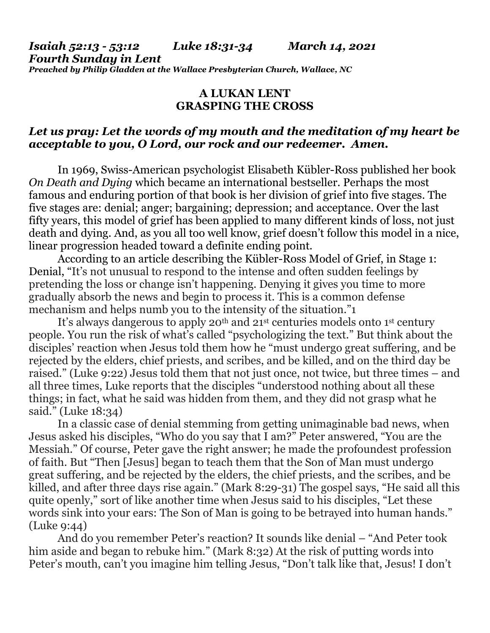*Isaiah 52:13 - 53:12 Luke 18:31-34 March 14, 2021 Fourth Sunday in Lent Preached by Philip Gladden at the Wallace Presbyterian Church, Wallace, NC*

## **A LUKAN LENT GRASPING THE CROSS**

## *Let us pray: Let the words of my mouth and the meditation of my heart be acceptable to you, O Lord, our rock and our redeemer. Amen.*

In 1969, Swiss-American psychologist Elisabeth Kübler-Ross published her book *On Death and Dying* which became an international bestseller. Perhaps the most famous and enduring portion of that book is her division of grief into five stages. The five stages are: denial; anger; bargaining; depression; and acceptance. Over the last fifty years, this model of grief has been applied to many different kinds of loss, not just death and dying. And, as you all too well know, grief doesn't follow this model in a nice, linear progression headed toward a definite ending point.

According to an article describing the Kübler-Ross Model of Grief, in Stage 1: Denial, "It's not unusual to respond to the intense and often sudden feelings by pretending the loss or change isn't happening. Denying it gives you time to more gradually absorb the news and begin to process it. This is a common defense mechanism and helps numb you to the intensity of the situation."1

It's always dangerous to apply 20<sup>th</sup> and 21<sup>st</sup> centuries models onto 1<sup>st</sup> century people. You run the risk of what's called "psychologizing the text." But think about the disciples' reaction when Jesus told them how he "must undergo great suffering, and be rejected by the elders, chief priests, and scribes, and be killed, and on the third day be raised." (Luke 9:22) Jesus told them that not just once, not twice, but three times – and all three times, Luke reports that the disciples "understood nothing about all these things; in fact, what he said was hidden from them, and they did not grasp what he said." (Luke 18:34)

In a classic case of denial stemming from getting unimaginable bad news, when Jesus asked his disciples, "Who do you say that I am?" Peter answered, "You are the Messiah." Of course, Peter gave the right answer; he made the profoundest profession of faith. But "Then [Jesus] began to teach them that the Son of Man must undergo great suffering, and be rejected by the elders, the chief priests, and the scribes, and be killed, and after three days rise again." (Mark 8:29-31) The gospel says, "He said all this quite openly," sort of like another time when Jesus said to his disciples, "Let these words sink into your ears: The Son of Man is going to be betrayed into human hands." (Luke 9:44)

And do you remember Peter's reaction? It sounds like denial – "And Peter took him aside and began to rebuke him." (Mark 8:32) At the risk of putting words into Peter's mouth, can't you imagine him telling Jesus, "Don't talk like that, Jesus! I don't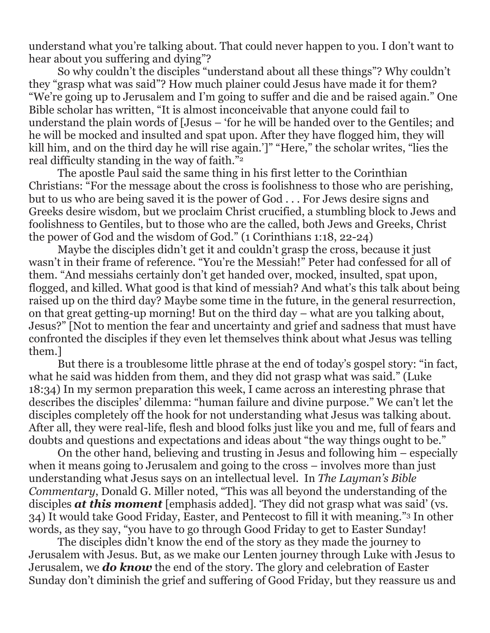understand what you're talking about. That could never happen to you. I don't want to hear about you suffering and dying"?

So why couldn't the disciples "understand about all these things"? Why couldn't they "grasp what was said"? How much plainer could Jesus have made it for them? "We're going up to Jerusalem and I'm going to suffer and die and be raised again." One Bible scholar has written, "It is almost inconceivable that anyone could fail to understand the plain words of [Jesus – 'for he will be handed over to the Gentiles; and he will be mocked and insulted and spat upon. After they have flogged him, they will kill him, and on the third day he will rise again.']" "Here," the scholar writes, "lies the real difficulty standing in the way of faith."<sup>2</sup>

The apostle Paul said the same thing in his first letter to the Corinthian Christians: "For the message about the cross is foolishness to those who are perishing, but to us who are being saved it is the power of God . . . For Jews desire signs and Greeks desire wisdom, but we proclaim Christ crucified, a stumbling block to Jews and foolishness to Gentiles, but to those who are the called, both Jews and Greeks, Christ the power of God and the wisdom of God." (1 Corinthians 1:18, 22-24)

Maybe the disciples didn't get it and couldn't grasp the cross, because it just wasn't in their frame of reference. "You're the Messiah!" Peter had confessed for all of them. "And messiahs certainly don't get handed over, mocked, insulted, spat upon, flogged, and killed. What good is that kind of messiah? And what's this talk about being raised up on the third day? Maybe some time in the future, in the general resurrection, on that great getting-up morning! But on the third day – what are you talking about, Jesus?" [Not to mention the fear and uncertainty and grief and sadness that must have confronted the disciples if they even let themselves think about what Jesus was telling them.]

But there is a troublesome little phrase at the end of today's gospel story: "in fact, what he said was hidden from them, and they did not grasp what was said." (Luke 18:34) In my sermon preparation this week, I came across an interesting phrase that describes the disciples' dilemma: "human failure and divine purpose." We can't let the disciples completely off the hook for not understanding what Jesus was talking about. After all, they were real-life, flesh and blood folks just like you and me, full of fears and doubts and questions and expectations and ideas about "the way things ought to be."

On the other hand, believing and trusting in Jesus and following him – especially when it means going to Jerusalem and going to the cross – involves more than just understanding what Jesus says on an intellectual level. In *The Layman's Bible Commentary*, Donald G. Miller noted, "This was all beyond the understanding of the disciples *at this moment* [emphasis added]. 'They did not grasp what was said' (vs. 34) It would take Good Friday, Easter, and Pentecost to fill it with meaning."<sup>3</sup> In other words, as they say, "you have to go through Good Friday to get to Easter Sunday!

The disciples didn't know the end of the story as they made the journey to Jerusalem with Jesus. But, as we make our Lenten journey through Luke with Jesus to Jerusalem, we *do know* the end of the story. The glory and celebration of Easter Sunday don't diminish the grief and suffering of Good Friday, but they reassure us and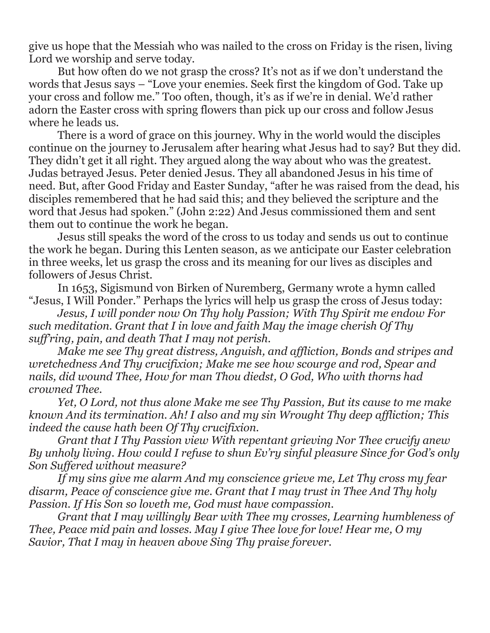give us hope that the Messiah who was nailed to the cross on Friday is the risen, living Lord we worship and serve today.

But how often do we not grasp the cross? It's not as if we don't understand the words that Jesus says – "Love your enemies. Seek first the kingdom of God. Take up your cross and follow me." Too often, though, it's as if we're in denial. We'd rather adorn the Easter cross with spring flowers than pick up our cross and follow Jesus where he leads us.

There is a word of grace on this journey. Why in the world would the disciples continue on the journey to Jerusalem after hearing what Jesus had to say? But they did. They didn't get it all right. They argued along the way about who was the greatest. Judas betrayed Jesus. Peter denied Jesus. They all abandoned Jesus in his time of need. But, after Good Friday and Easter Sunday, "after he was raised from the dead, his disciples remembered that he had said this; and they believed the scripture and the word that Jesus had spoken." (John 2:22) And Jesus commissioned them and sent them out to continue the work he began.

Jesus still speaks the word of the cross to us today and sends us out to continue the work he began. During this Lenten season, as we anticipate our Easter celebration in three weeks, let us grasp the cross and its meaning for our lives as disciples and followers of Jesus Christ.

In 1653, Sigismund von Birken of Nuremberg, Germany wrote a hymn called "Jesus, I Will Ponder." Perhaps the lyrics will help us grasp the cross of Jesus today:

*Jesus, I will ponder now On Thy holy Passion; With Thy Spirit me endow For such meditation. Grant that I in love and faith May the image cherish Of Thy suff'ring, pain, and death That I may not perish.*

*Make me see Thy great distress, Anguish, and affliction, Bonds and stripes and wretchedness And Thy crucifixion; Make me see how scourge and rod, Spear and nails, did wound Thee, How for man Thou diedst, O God, Who with thorns had crowned Thee.*

*Yet, O Lord, not thus alone Make me see Thy Passion, But its cause to me make known And its termination. Ah! I also and my sin Wrought Thy deep affliction; This indeed the cause hath been Of Thy crucifixion.*

*Grant that I Thy Passion view With repentant grieving Nor Thee crucify anew By unholy living. How could I refuse to shun Ev'ry sinful pleasure Since for God's only Son Suffered without measure?*

*If my sins give me alarm And my conscience grieve me, Let Thy cross my fear disarm, Peace of conscience give me. Grant that I may trust in Thee And Thy holy Passion. If His Son so loveth me, God must have compassion.*

*Grant that I may willingly Bear with Thee my crosses, Learning humbleness of Thee, Peace mid pain and losses. May I give Thee love for love! Hear me, O my Savior, That I may in heaven above Sing Thy praise forever.*